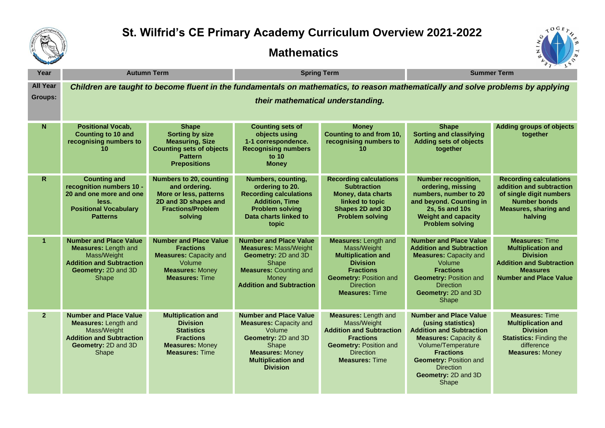

## **St. Wilfrid's CE Primary Academy Curriculum Overview 2021-2022**

## **Mathematics**



| Year            | <b>Autumn Term</b>                                                                                                                             |                                                                                                                                                 | <b>Spring Term</b>                                                                                                                                                                 |                                                                                                                                                                                              | <b>Summer Term</b>                                                                                                                                                                                                                                       |                                                                                                                                                              |  |  |  |
|-----------------|------------------------------------------------------------------------------------------------------------------------------------------------|-------------------------------------------------------------------------------------------------------------------------------------------------|------------------------------------------------------------------------------------------------------------------------------------------------------------------------------------|----------------------------------------------------------------------------------------------------------------------------------------------------------------------------------------------|----------------------------------------------------------------------------------------------------------------------------------------------------------------------------------------------------------------------------------------------------------|--------------------------------------------------------------------------------------------------------------------------------------------------------------|--|--|--|
| <b>All Year</b> | Children are taught to become fluent in the fundamentals on mathematics, to reason mathematically and solve problems by applying               |                                                                                                                                                 |                                                                                                                                                                                    |                                                                                                                                                                                              |                                                                                                                                                                                                                                                          |                                                                                                                                                              |  |  |  |
| <b>Groups:</b>  | their mathematical understanding.                                                                                                              |                                                                                                                                                 |                                                                                                                                                                                    |                                                                                                                                                                                              |                                                                                                                                                                                                                                                          |                                                                                                                                                              |  |  |  |
| N.              | <b>Positional Vocab,</b><br><b>Counting to 10 and</b><br>recognising numbers to<br>10                                                          | <b>Shape</b><br><b>Sorting by size</b><br><b>Measuring, Size</b><br><b>Counting sets of objects</b><br><b>Pattern</b><br><b>Prepositions</b>    | <b>Counting sets of</b><br>objects using<br>1-1 correspondence.<br><b>Recognising numbers</b><br>to 10<br><b>Money</b>                                                             | <b>Money</b><br>Counting to and from 10,<br>recognising numbers to<br>10                                                                                                                     | <b>Shape</b><br><b>Sorting and classifying</b><br><b>Adding sets of objects</b><br>together                                                                                                                                                              | <b>Adding groups of objects</b><br>together                                                                                                                  |  |  |  |
| $\mathsf{R}$    | <b>Counting and</b><br>recognition numbers 10 -<br>20 and one more and one<br>less.<br><b>Positional Vocabulary</b><br><b>Patterns</b>         | <b>Numbers to 20, counting</b><br>and ordering.<br>More or less, patterns<br>2D and 3D shapes and<br><b>Fractions/Problem</b><br>solving        | <b>Numbers, counting,</b><br>ordering to 20.<br><b>Recording calculations</b><br><b>Addition, Time</b><br><b>Problem solving</b><br>Data charts linked to<br>topic                 | <b>Recording calculations</b><br><b>Subtraction</b><br>Money, data charts<br>linked to topic<br>Shapes 2D and 3D<br><b>Problem solving</b>                                                   | <b>Number recognition,</b><br>ordering, missing<br>numbers, number to 20<br>and beyond. Counting in<br>2s, 5s and 10s<br><b>Weight and capacity</b><br><b>Problem solving</b>                                                                            | <b>Recording calculations</b><br>addition and subtraction<br>of single digit numbers<br><b>Number bonds</b><br><b>Measures, sharing and</b><br>halving       |  |  |  |
|                 | <b>Number and Place Value</b><br><b>Measures: Length and</b><br>Mass/Weight<br><b>Addition and Subtraction</b><br>Geometry: 2D and 3D<br>Shape | <b>Number and Place Value</b><br><b>Fractions</b><br><b>Measures: Capacity and</b><br>Volume<br><b>Measures: Money</b><br><b>Measures: Time</b> | <b>Number and Place Value</b><br><b>Measures: Mass/Weight</b><br>Geometry: 2D and 3D<br>Shape<br><b>Measures: Counting and</b><br>Money<br><b>Addition and Subtraction</b>         | <b>Measures: Length and</b><br>Mass/Weight<br><b>Multiplication and</b><br><b>Division</b><br><b>Fractions</b><br><b>Geometry: Position and</b><br><b>Direction</b><br><b>Measures: Time</b> | <b>Number and Place Value</b><br><b>Addition and Subtraction</b><br><b>Measures: Capacity and</b><br>Volume<br><b>Fractions</b><br><b>Geometry: Position and</b><br><b>Direction</b><br>Geometry: 2D and 3D<br><b>Shape</b>                              | <b>Measures: Time</b><br><b>Multiplication and</b><br><b>Division</b><br><b>Addition and Subtraction</b><br><b>Measures</b><br><b>Number and Place Value</b> |  |  |  |
| 2 <sup>1</sup>  | <b>Number and Place Value</b><br><b>Measures: Length and</b><br>Mass/Weight<br><b>Addition and Subtraction</b><br>Geometry: 2D and 3D<br>Shape | <b>Multiplication and</b><br><b>Division</b><br><b>Statistics</b><br><b>Fractions</b><br><b>Measures: Money</b><br><b>Measures: Time</b>        | <b>Number and Place Value</b><br><b>Measures: Capacity and</b><br>Volume<br>Geometry: 2D and 3D<br>Shape<br><b>Measures: Money</b><br><b>Multiplication and</b><br><b>Division</b> | <b>Measures: Length and</b><br>Mass/Weight<br><b>Addition and Subtraction</b><br><b>Fractions</b><br><b>Geometry: Position and</b><br><b>Direction</b><br><b>Measures: Time</b>              | <b>Number and Place Value</b><br>(using statistics)<br><b>Addition and Subtraction</b><br><b>Measures: Capacity &amp;</b><br>Volume/Temperature<br><b>Fractions</b><br><b>Geometry: Position and</b><br><b>Direction</b><br>Geometry: 2D and 3D<br>Shape | <b>Measures: Time</b><br><b>Multiplication and</b><br><b>Division</b><br><b>Statistics: Finding the</b><br>difference<br><b>Measures: Money</b>              |  |  |  |